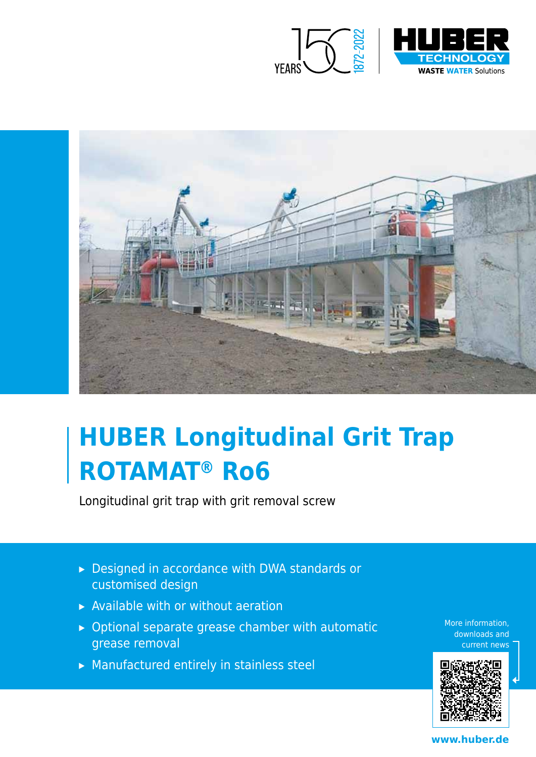



# **HUBER Longitudinal Grit Trap ROTAMAT® Ro6**

Longitudinal grit trap with grit removal screw

- ▸ Designed in accordance with DWA standards or customised design
- ▸ Available with or without aeration
- ▸ Optional separate grease chamber with automatic grease removal
- ▸ Manufactured entirely in stainless steel

More information, downloads and current news



**www.huber.de**